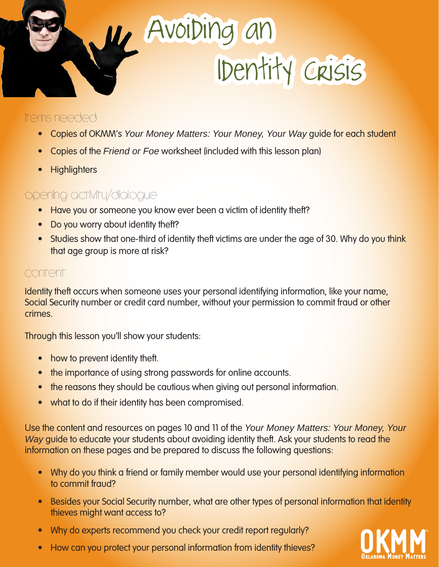

# Avoiding an Identity Crisis

#### Items Needed

- Copies of OKMM's *Your Money Matters: Your Money, Your Way* guide for each student
- • Copies of the *Friend or Foe* worksheet (included with this lesson plan)
- Highlighters

### opening activity/dialogue

- Have you or someone you know ever been a victim of identity theft?
- Do you worry about identity theft?
- Studies show that one-third of identity theft victims are under the age of 30. Why do you think that age group is more at risk?

#### Content

Identity theft occurs when someone uses your personal identifying information, like your name, Social Security number or credit card number, without your permission to commit fraud or other crimes.

Through this lesson you'll show your students:

- how to prevent identity theft.
- the importance of using strong passwords for online accounts.
- the reasons they should be cautious when giving out personal information.
- what to do if their identity has been compromised.

Use the content and resources on pages 10 and 11 of the *Your Money Matters: Your Money, Your Way* guide to educate your students about avoiding identity theft. Ask your students to read the information on these pages and be prepared to discuss the following questions:

- Why do you think a friend or family member would use your personal identifying information to commit fraud?
- Besides your Social Security number, what are other types of personal information that identity thieves might want access to?
- Why do experts recommend you check your credit report regularly?
- How can you protect your personal information from identity thieves?

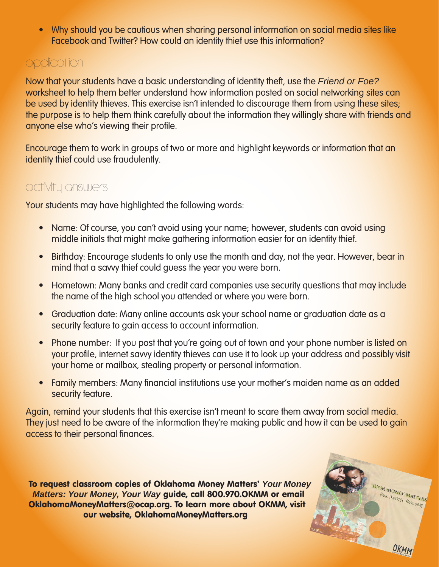• Why should you be cautious when sharing personal information on social media sites like Facebook and Twitter? How could an identity thief use this information?

#### Application

Now that your students have a basic understanding of identity theft, use the *Friend or Foe?*  worksheet to help them better understand how information posted on social networking sites can be used by identity thieves. This exercise isn't intended to discourage them from using these sites; the purpose is to help them think carefully about the information they willingly share with friends and anyone else who's viewing their profile.

Encourage them to work in groups of two or more and highlight keywords or information that an identity thief could use fraudulently.

#### activity answers

Your students may have highlighted the following words:

- Name: Of course, you can't avoid using your name; however, students can avoid using middle initials that might make gathering information easier for an identity thief.
- Birthday: Encourage students to only use the month and day, not the year. However, bear in mind that a savvy thief could guess the year you were born.
- Hometown: Many banks and credit card companies use security questions that may include the name of the high school you attended or where you were born.
- Graduation date: Many online accounts ask your school name or graduation date as a security feature to gain access to account information.
- Phone number: If you post that you're going out of town and your phone number is listed on your profile, internet savvy identity thieves can use it to look up your address and possibly visit your home or mailbox, stealing property or personal information.
- Family members: Many financial institutions use your mother's maiden name as an added security feature.

Again, remind your students that this exercise isn't meant to scare them away from social media. They just need to be aware of the information they're making public and how it can be used to gain access to their personal finances.

To request classroom copies of Oklahoma Money Matters' *Your Money Matters: Your Money, Your Way* guide, call 800.970.OKMM or email OklahomaMoneyMatters@ocap.org. To learn more about OKMM, visit our website, OklahomaMoneyMatters.org

**ANSO** OKMM

YOUR MONEY MATTERS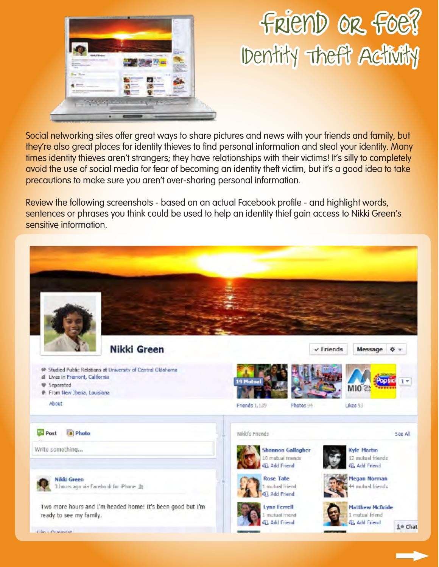

## Friend or Foe? Identity Theft Activity

Social networking sites offer great ways to share pictures and news with your friends and family, but they're also great places for identity thieves to find personal information and steal your identity. Many times identity thieves aren't strangers; they have relationships with their victims! It's silly to completely avoid the use of social media for fear of becoming an identity theft victim, but it's a good idea to take precautions to make sure you aren't over-sharing personal information.

Review the following screenshots - based on an actual Facebook profile - and highlight words, sentences or phrases you think could be used to help an identity thief gain access to Nikki Green's sensitive information.